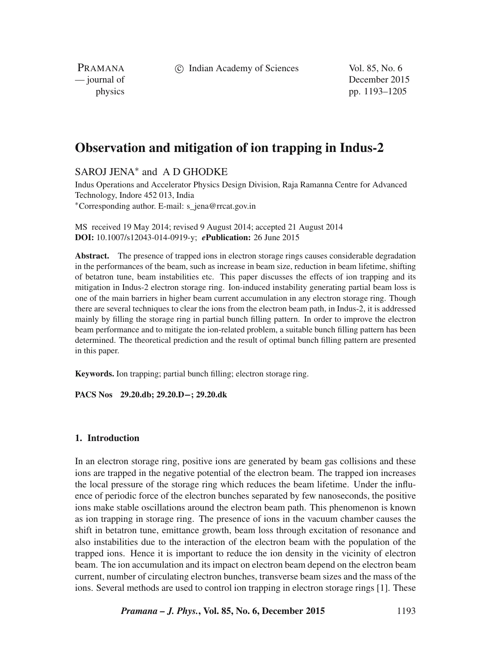c Indian Academy of Sciences Vol. 85, No. 6

PRAMANA<br>
— journal of

December 2015 physics pp. 1193–1205

# **Observation and mitigation of ion trapping in Indus-2**

# SAROJ JENA<sup>\*</sup> and A D GHODKE

Indus Operations and Accelerator Physics Design Division, Raja Ramanna Centre for Advanced Technology, Indore 452 013, India ∗Corresponding author. E-mail: s\_jena@rrcat.gov.in

MS received 19 May 2014; revised 9 August 2014; accepted 21 August 2014 **DOI:** 10.1007/s12043-014-0919-y; *e***Publication:** 26 June 2015

**Abstract.** The presence of trapped ions in electron storage rings causes considerable degradation in the performances of the beam, such as increase in beam size, reduction in beam lifetime, shifting of betatron tune, beam instabilities etc. This paper discusses the effects of ion trapping and its mitigation in Indus-2 electron storage ring. Ion-induced instability generating partial beam loss is one of the main barriers in higher beam current accumulation in any electron storage ring. Though there are several techniques to clear the ions from the electron beam path, in Indus-2, it is addressed mainly by filling the storage ring in partial bunch filling pattern. In order to improve the electron beam performance and to mitigate the ion-related problem, a suitable bunch filling pattern has been determined. The theoretical prediction and the result of optimal bunch filling pattern are presented in this paper.

**Keywords.** Ion trapping; partial bunch filling; electron storage ring.

**PACS Nos 29.20.db; 29.20.D−; 29.20.dk**

## **1. Introduction**

In an electron storage ring, positive ions are generated by beam gas collisions and these ions are trapped in the negative potential of the electron beam. The trapped ion increases the local pressure of the storage ring which reduces the beam lifetime. Under the influence of periodic force of the electron bunches separated by few nanoseconds, the positive ions make stable oscillations around the electron beam path. This phenomenon is known as ion trapping in storage ring. The presence of ions in the vacuum chamber causes the shift in betatron tune, emittance growth, beam loss through excitation of resonance and also instabilities due to the interaction of the electron beam with the population of the trapped ions. Hence it is important to reduce the ion density in the vicinity of electron beam. The ion accumulation and its impact on electron beam depend on the electron beam current, number of circulating electron bunches, transverse beam sizes and the mass of the ions. Several methods are used to control ion trapping in electron storage rings [1]. These

*Pramana – J. Phys.***, Vol. 85, No. 6, December 2015** 1193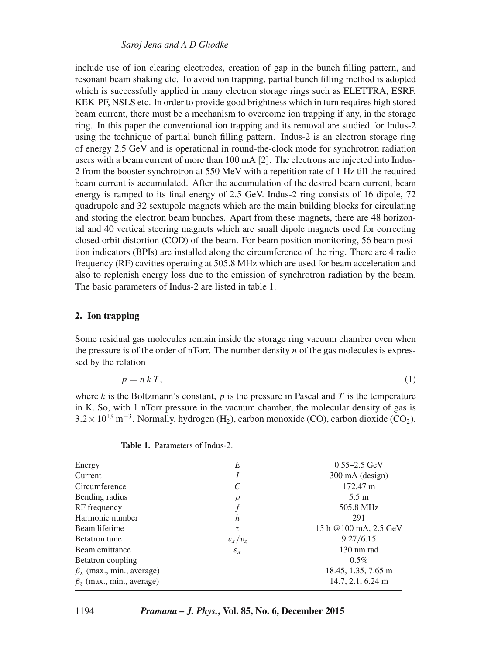## *Saroj Jena and A D Ghodke*

include use of ion clearing electrodes, creation of gap in the bunch filling pattern, and resonant beam shaking etc. To avoid ion trapping, partial bunch filling method is adopted which is successfully applied in many electron storage rings such as ELETTRA, ESRF, KEK-PF, NSLS etc. In order to provide good brightness which in turn requires high stored beam current, there must be a mechanism to overcome ion trapping if any, in the storage ring. In this paper the conventional ion trapping and its removal are studied for Indus-2 using the technique of partial bunch filling pattern. Indus-2 is an electron storage ring of energy 2.5 GeV and is operational in round-the-clock mode for synchrotron radiation users with a beam current of more than 100 mA [2]. The electrons are injected into Indus-2 from the booster synchrotron at 550 MeV with a repetition rate of 1 Hz till the required beam current is accumulated. After the accumulation of the desired beam current, beam energy is ramped to its final energy of 2.5 GeV. Indus-2 ring consists of 16 dipole, 72 quadrupole and 32 sextupole magnets which are the main building blocks for circulating and storing the electron beam bunches. Apart from these magnets, there are 48 horizontal and 40 vertical steering magnets which are small dipole magnets used for correcting closed orbit distortion (COD) of the beam. For beam position monitoring, 56 beam position indicators (BPIs) are installed along the circumference of the ring. There are 4 radio frequency (RF) cavities operating at 505.8 MHz which are used for beam acceleration and also to replenish energy loss due to the emission of synchrotron radiation by the beam. The basic parameters of Indus-2 are listed in table 1.

# **2. Ion trapping**

Some residual gas molecules remain inside the storage ring vacuum chamber even when the pressure is of the order of nTorr. The number density  $n$  of the gas molecules is expressed by the relation

$$
p = n k T,\tag{1}
$$

where k is the Boltzmann's constant,  $p$  is the pressure in Pascal and T is the temperature in K. So, with 1 nTorr pressure in the vacuum chamber, the molecular density of gas is  $3.2 \times 10^{13}$  m<sup>-3</sup>. Normally, hydrogen (H<sub>2</sub>), carbon monoxide (CO), carbon dioxide (CO<sub>2</sub>),

| Energy                                     | E               | $0.55 - 2.5$ GeV      |
|--------------------------------------------|-----------------|-----------------------|
| Current                                    |                 | 300 mA (design)       |
| Circumference                              |                 | 172.47 m              |
| Bending radius                             | $\rho$          | $5.5 \text{ m}$       |
| RF frequency                               |                 | 505.8 MHz             |
| Harmonic number                            | h               | 291                   |
| Beam lifetime                              | τ               | 15 h @100 mA, 2.5 GeV |
| Betatron tune                              | $v_x/v_z$       | 9.27/6.15             |
| Beam emittance                             | $\varepsilon_x$ | 130 nm rad            |
| Betatron coupling                          |                 | $0.5\%$               |
| $\beta_x$ (max., min., average)            |                 | 18.45, 1.35, 7.65 m   |
| $\beta$ <sub>z</sub> (max., min., average) |                 | 14.7, 2.1, 6.24 m     |
|                                            |                 |                       |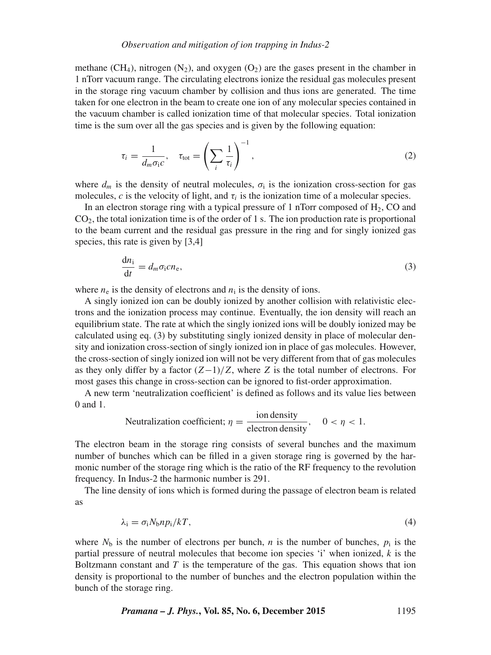methane (CH<sub>4</sub>), nitrogen (N<sub>2</sub>), and oxygen (O<sub>2</sub>) are the gases present in the chamber in 1 nTorr vacuum range. The circulating electrons ionize the residual gas molecules present in the storage ring vacuum chamber by collision and thus ions are generated. The time taken for one electron in the beam to create one ion of any molecular species contained in the vacuum chamber is called ionization time of that molecular species. Total ionization time is the sum over all the gas species and is given by the following equation:

$$
\tau_i = \frac{1}{d_m \sigma_i c}, \quad \tau_{\text{tot}} = \left(\sum_i \frac{1}{\tau_i}\right)^{-1}, \tag{2}
$$

where  $d_m$  is the density of neutral molecules,  $\sigma_i$  is the ionization cross-section for gas molecules, c is the velocity of light, and  $\tau_i$  is the ionization time of a molecular species.

In an electron storage ring with a typical pressure of 1 nTorr composed of  $H_2$ , CO and  $CO<sub>2</sub>$ , the total ionization time is of the order of 1 s. The ion production rate is proportional to the beam current and the residual gas pressure in the ring and for singly ionized gas species, this rate is given by [3,4]

$$
\frac{\mathrm{d}n_{\rm i}}{\mathrm{d}t} = d_m \sigma_{\rm i} c n_{\rm e},\tag{3}
$$

where  $n_e$  is the density of electrons and  $n_i$  is the density of ions.

A singly ionized ion can be doubly ionized by another collision with relativistic electrons and the ionization process may continue. Eventually, the ion density will reach an equilibrium state. The rate at which the singly ionized ions will be doubly ionized may be calculated using eq. (3) by substituting singly ionized density in place of molecular density and ionization cross-section of singly ionized ion in place of gas molecules. However, the cross-section of singly ionized ion will not be very different from that of gas molecules as they only differ by a factor  $(Z-1)/Z$ , where Z is the total number of electrons. For most gases this change in cross-section can be ignored to fist-order approximation.

A new term 'neutralization coefficient' is defined as follows and its value lies between 0 and 1.

Neutralization coefficient; 
$$
\eta = \frac{\text{ion density}}{\text{electron density}}
$$
,  $0 < \eta < 1$ .

The electron beam in the storage ring consists of several bunches and the maximum number of bunches which can be filled in a given storage ring is governed by the harmonic number of the storage ring which is the ratio of the RF frequency to the revolution frequency. In Indus-2 the harmonic number is 291.

The line density of ions which is formed during the passage of electron beam is related as

$$
\lambda_i = \sigma_i N_b n p_i / kT,\tag{4}
$$

where  $N_b$  is the number of electrons per bunch, n is the number of bunches,  $p_i$  is the partial pressure of neutral molecules that become ion species 'i' when ionized,  $k$  is the Boltzmann constant and  $T$  is the temperature of the gas. This equation shows that ion density is proportional to the number of bunches and the electron population within the bunch of the storage ring.

*Pramana – J. Phys.***, Vol. 85, No. 6, December 2015** 1195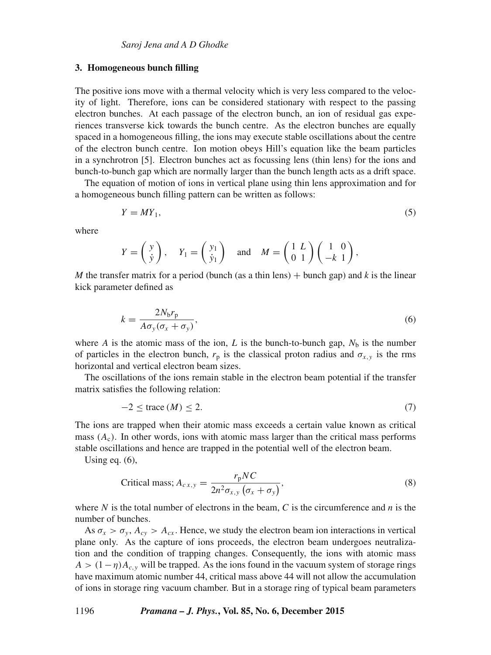#### **3. Homogeneous bunch filling**

The positive ions move with a thermal velocity which is very less compared to the velocity of light. Therefore, ions can be considered stationary with respect to the passing electron bunches. At each passage of the electron bunch, an ion of residual gas experiences transverse kick towards the bunch centre. As the electron bunches are equally spaced in a homogeneous filling, the ions may execute stable oscillations about the centre of the electron bunch centre. Ion motion obeys Hill's equation like the beam particles in a synchrotron [5]. Electron bunches act as focussing lens (thin lens) for the ions and bunch-to-bunch gap which are normally larger than the bunch length acts as a drift space.

The equation of motion of ions in vertical plane using thin lens approximation and for a homogeneous bunch filling pattern can be written as follows:

$$
Y = MY_1,\tag{5}
$$

where

$$
Y = \begin{pmatrix} y \\ \dot{y} \end{pmatrix}
$$
,  $Y_1 = \begin{pmatrix} y_1 \\ \dot{y}_1 \end{pmatrix}$  and  $M = \begin{pmatrix} 1 & L \\ 0 & 1 \end{pmatrix} \begin{pmatrix} 1 & 0 \\ -k & 1 \end{pmatrix}$ ,

*M* the transfer matrix for a period (bunch (as a thin lens)  $+$  bunch gap) and *k* is the linear kick parameter defined as

$$
k = \frac{2N_b r_p}{A\sigma_y(\sigma_x + \sigma_y)},\tag{6}
$$

where A is the atomic mass of the ion, L is the bunch-to-bunch gap,  $N<sub>b</sub>$  is the number of particles in the electron bunch,  $r_p$  is the classical proton radius and  $\sigma_{x,y}$  is the rms horizontal and vertical electron beam sizes.

The oscillations of the ions remain stable in the electron beam potential if the transfer matrix satisfies the following relation:

$$
-2 \le \text{trace}\,(M) \le 2. \tag{7}
$$

The ions are trapped when their atomic mass exceeds a certain value known as critical mass  $(A<sub>c</sub>)$ . In other words, ions with atomic mass larger than the critical mass performs stable oscillations and hence are trapped in the potential well of the electron beam.

Using eq. (6),

$$
\text{Critical mass; } A_{c\,x,y} = \frac{r_{\text{p}}NC}{2n^2\sigma_{x,y}\left(\sigma_x + \sigma_y\right)},\tag{8}
$$

where N is the total number of electrons in the beam, C is the circumference and  $n$  is the number of bunches.

As  $\sigma_x > \sigma_y$ ,  $A_{cy} > A_{cx}$ . Hence, we study the electron beam ion interactions in vertical plane only. As the capture of ions proceeds, the electron beam undergoes neutralization and the condition of trapping changes. Consequently, the ions with atomic mass  $A>(1-\eta)A_c$ , will be trapped. As the ions found in the vacuum system of storage rings have maximum atomic number 44, critical mass above 44 will not allow the accumulation of ions in storage ring vacuum chamber. But in a storage ring of typical beam parameters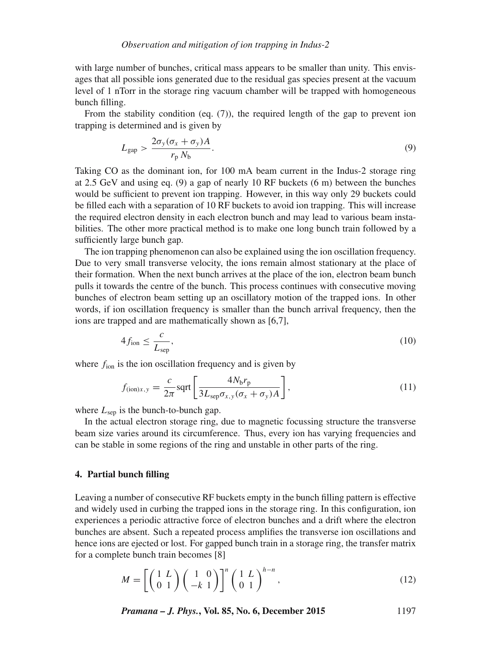with large number of bunches, critical mass appears to be smaller than unity. This envisages that all possible ions generated due to the residual gas species present at the vacuum level of 1 nTorr in the storage ring vacuum chamber will be trapped with homogeneous bunch filling.

From the stability condition (eq. (7)), the required length of the gap to prevent ion trapping is determined and is given by

$$
L_{\rm gap} > \frac{2\sigma_y(\sigma_x + \sigma_y)A}{r_p N_b}.
$$
\n(9)

Taking CO as the dominant ion, for 100 mA beam current in the Indus-2 storage ring at 2.5 GeV and using eq. (9) a gap of nearly 10 RF buckets (6 m) between the bunches would be sufficient to prevent ion trapping. However, in this way only 29 buckets could be filled each with a separation of 10 RF buckets to avoid ion trapping. This will increase the required electron density in each electron bunch and may lead to various beam instabilities. The other more practical method is to make one long bunch train followed by a sufficiently large bunch gap.

The ion trapping phenomenon can also be explained using the ion oscillation frequency. Due to very small transverse velocity, the ions remain almost stationary at the place of their formation. When the next bunch arrives at the place of the ion, electron beam bunch pulls it towards the centre of the bunch. This process continues with consecutive moving bunches of electron beam setting up an oscillatory motion of the trapped ions. In other words, if ion oscillation frequency is smaller than the bunch arrival frequency, then the ions are trapped and are mathematically shown as [6,7],

$$
4f_{\rm ion} \le \frac{c}{L_{\rm sep}},\tag{10}
$$

where  $f_{\text{ion}}$  is the ion oscillation frequency and is given by

$$
f_{(\text{ion})x,y} = \frac{c}{2\pi} \text{sqrt} \left[ \frac{4N_{\text{b}}r_{\text{p}}}{3L_{\text{sep}}\sigma_{x,y}(\sigma_x + \sigma_y)A} \right],\tag{11}
$$

where  $L_{\text{sep}}$  is the bunch-to-bunch gap.

In the actual electron storage ring, due to magnetic focussing structure the transverse beam size varies around its circumference. Thus, every ion has varying frequencies and can be stable in some regions of the ring and unstable in other parts of the ring.

#### **4. Partial bunch filling**

Leaving a number of consecutive RF buckets empty in the bunch filling pattern is effective and widely used in curbing the trapped ions in the storage ring. In this configuration, ion experiences a periodic attractive force of electron bunches and a drift where the electron bunches are absent. Such a repeated process amplifies the transverse ion oscillations and hence ions are ejected or lost. For gapped bunch train in a storage ring, the transfer matrix for a complete bunch train becomes [8]

$$
M = \left[ \left( \begin{array}{c} 1 & L \\ 0 & 1 \end{array} \right) \left( \begin{array}{c} 1 & 0 \\ -k & 1 \end{array} \right) \right]^n \left( \begin{array}{c} 1 & L \\ 0 & 1 \end{array} \right)^{h-n},\tag{12}
$$

*Pramana – J. Phys.***, Vol. 85, No. 6, December 2015** 1197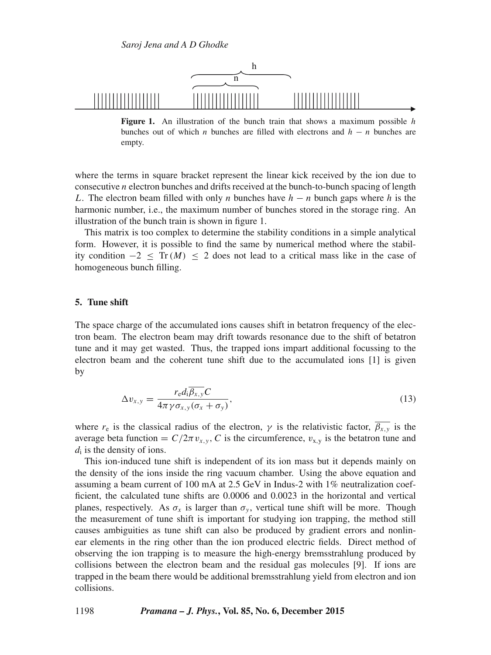

**Figure 1.** An illustration of the bunch train that shows a maximum possible h bunches out of which *n* bunches are filled with electrons and  $h - n$  bunches are empty.

where the terms in square bracket represent the linear kick received by the ion due to consecutive n electron bunches and drifts received at the bunch-to-bunch spacing of length L. The electron beam filled with only n bunches have  $h - n$  bunch gaps where h is the harmonic number, i.e., the maximum number of bunches stored in the storage ring. An illustration of the bunch train is shown in figure 1.

This matrix is too complex to determine the stability conditions in a simple analytical form. However, it is possible to find the same by numerical method where the stability condition  $-2 <$  Tr(M)  $<$  2 does not lead to a critical mass like in the case of homogeneous bunch filling.

## **5. Tune shift**

The space charge of the accumulated ions causes shift in betatron frequency of the electron beam. The electron beam may drift towards resonance due to the shift of betatron tune and it may get wasted. Thus, the trapped ions impart additional focussing to the electron beam and the coherent tune shift due to the accumulated ions [1] is given by

$$
\Delta v_{x,y} = \frac{r_{\rm e} d_{\rm i} \overline{\beta_{x,y}} C}{4\pi \gamma \sigma_{x,y} (\sigma_x + \sigma_y)},\tag{13}
$$

where  $r_e$  is the classical radius of the electron,  $\gamma$  is the relativistic factor,  $\overline{\beta_{x,y}}$  is the average beta function =  $C/2\pi v_{x,y}$ , C is the circumference,  $v_{x,y}$  is the betatron tune and  $d_i$  is the density of ions.

This ion-induced tune shift is independent of its ion mass but it depends mainly on the density of the ions inside the ring vacuum chamber. Using the above equation and assuming a beam current of 100 mA at 2.5 GeV in Indus-2 with 1% neutralization coefficient, the calculated tune shifts are 0.0006 and 0.0023 in the horizontal and vertical planes, respectively. As  $\sigma_x$  is larger than  $\sigma_y$ , vertical tune shift will be more. Though the measurement of tune shift is important for studying ion trapping, the method still causes ambiguities as tune shift can also be produced by gradient errors and nonlinear elements in the ring other than the ion produced electric fields. Direct method of observing the ion trapping is to measure the high-energy bremsstrahlung produced by collisions between the electron beam and the residual gas molecules [9]. If ions are trapped in the beam there would be additional bremsstrahlung yield from electron and ion collisions.

1198 *Pramana – J. Phys.***, Vol. 85, No. 6, December 2015**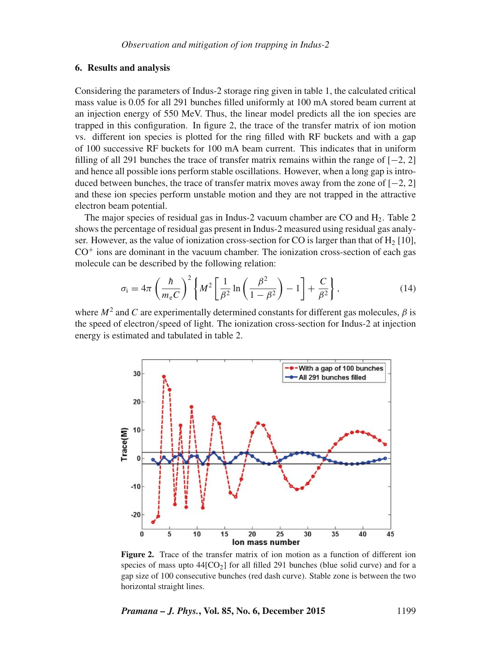#### **6. Results and analysis**

Considering the parameters of Indus-2 storage ring given in table 1, the calculated critical mass value is 0.05 for all 291 bunches filled uniformly at 100 mA stored beam current at an injection energy of 550 MeV. Thus, the linear model predicts all the ion species are trapped in this configuration. In figure 2, the trace of the transfer matrix of ion motion vs. different ion species is plotted for the ring filled with RF buckets and with a gap of 100 successive RF buckets for 100 mA beam current. This indicates that in uniform filling of all 291 bunches the trace of transfer matrix remains within the range of  $[-2, 2]$ and hence all possible ions perform stable oscillations. However, when a long gap is introduced between bunches, the trace of transfer matrix moves away from the zone of  $[-2, 2]$ and these ion species perform unstable motion and they are not trapped in the attractive electron beam potential.

The major species of residual gas in Indus-2 vacuum chamber are CO and  $H_2$ . Table 2 shows the percentage of residual gas present in Indus-2 measured using residual gas analyser. However, as the value of ionization cross-section for CO is larger than that of  $H_2$  [10],  $CO<sup>+</sup>$  ions are dominant in the vacuum chamber. The ionization cross-section of each gas molecule can be described by the following relation:

$$
\sigma_{\rm i} = 4\pi \left(\frac{\hbar}{m_{\rm e}C}\right)^2 \left\{ M^2 \left[ \frac{1}{\beta^2} \ln \left( \frac{\beta^2}{1-\beta^2} \right) - 1 \right] + \frac{C}{\beta^2} \right\},\tag{14}
$$

where  $M^2$  and C are experimentally determined constants for different gas molecules,  $\beta$  is the speed of electron/speed of light. The ionization cross-section for Indus-2 at injection energy is estimated and tabulated in table 2.



**Figure 2.** Trace of the transfer matrix of ion motion as a function of different ion species of mass upto  $44[CO_2]$  for all filled 291 bunches (blue solid curve) and for a gap size of 100 consecutive bunches (red dash curve). Stable zone is between the two horizontal straight lines.

*Pramana – J. Phys.***, Vol. 85, No. 6, December 2015** 1199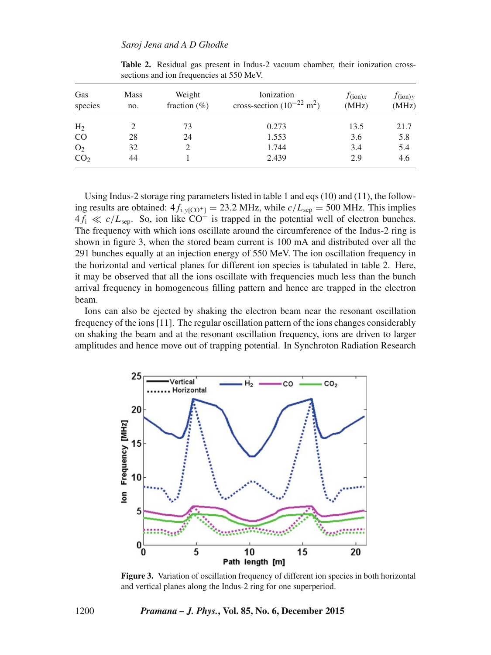| Gas<br>species  | <b>Mass</b><br>no. | Weight<br>fraction $(\%)$ | Ionization<br>cross-section $(10^{-22} \text{ m}^2)$ | $f_{(ion)x}$<br>(MHz) | $f_{(ion)y}$<br>(MHz) |
|-----------------|--------------------|---------------------------|------------------------------------------------------|-----------------------|-----------------------|
| H <sub>2</sub>  |                    | 73                        | 0.273                                                | 13.5                  | 21.7                  |
| <sub>CO</sub>   | 28                 | 24                        | 1.553                                                | 3.6                   | 5.8                   |
| O <sub>2</sub>  | 32                 |                           | 1.744                                                | 3.4                   | 5.4                   |
| CO <sub>2</sub> | 44                 |                           | 2.439                                                | 2.9                   | 4.6                   |

**Table 2.** Residual gas present in Indus-2 vacuum chamber, their ionization crosssections and ion frequencies at 550 MeV.

Using Indus-2 storage ring parameters listed in table 1 and eqs (10) and (11), the following results are obtained:  $4f_{i,v[CO^+]} = 23.2 \text{ MHz}$ , while  $c/L_{sep} = 500 \text{ MHz}$ . This implies  $4f_i \ll c/L_{\text{sen}}$ . So, ion like CO<sup>+</sup> is trapped in the potential well of electron bunches. The frequency with which ions oscillate around the circumference of the Indus-2 ring is shown in figure 3, when the stored beam current is 100 mA and distributed over all the 291 bunches equally at an injection energy of 550 MeV. The ion oscillation frequency in the horizontal and vertical planes for different ion species is tabulated in table 2. Here, it may be observed that all the ions oscillate with frequencies much less than the bunch arrival frequency in homogeneous filling pattern and hence are trapped in the electron beam.

Ions can also be ejected by shaking the electron beam near the resonant oscillation frequency of the ions [11]. The regular oscillation pattern of the ions changes considerably on shaking the beam and at the resonant oscillation frequency, ions are driven to larger amplitudes and hence move out of trapping potential. In Synchroton Radiation Research



Figure 3. Variation of oscillation frequency of different ion species in both horizontal and vertical planes along the Indus-2 ring for one superperiod.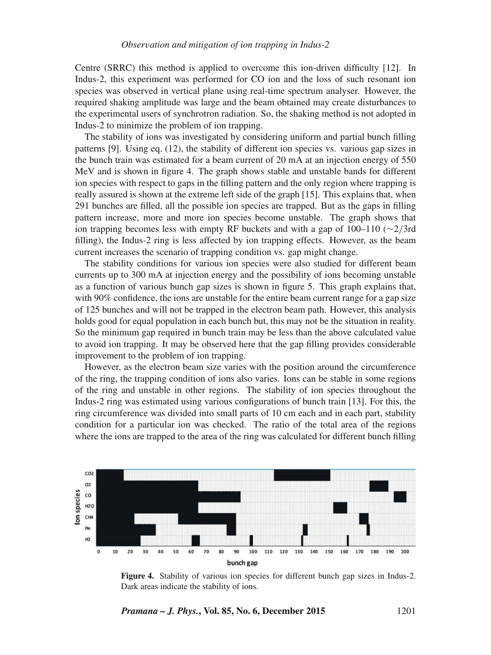Centre (SRRC) this method is applied to overcome this ion-driven difficulty [12]. In Indus-2, this experiment was performed for CO ion and the loss of such resonant ion species was observed in vertical plane using real-time spectrum analyser. However, the required shaking amplitude was large and the beam obtained may create disturbances to the experimental users of synchrotron radiation. So, the shaking method is not adopted in Indus-2 to minimize the problem of ion trapping.

The stability of ions was investigated by considering uniform and partial bunch filling patterns [9]. Using eq. (12), the stability of different ion species vs. various gap sizes in the bunch train was estimated for a beam current of 20 mA at an injection energy of 550 MeV and is shown in figure 4. The graph shows stable and unstable bands for different ion species with respect to gaps in the filling pattern and the only region where trapping is really assured is shown at the extreme left side of the graph [15]. This explains that, when 291 bunches are filled, all the possible ion species are trapped. But as the gaps in filling pattern increase, more and more ion species become unstable. The graph shows that ion trapping becomes less with empty RF buckets and with a gap of 100–110 (∼2/3rd filling), the Indus-2 ring is less affected by ion trapping effects. However, as the beam current increases the scenario of trapping condition vs. gap might change.

The stability conditions for various ion species were also studied for different beam currents up to 300 mA at injection energy and the possibility of ions becoming unstable as a function of various bunch gap sizes is shown in figure 5. This graph explains that, with 90% confidence, the ions are unstable for the entire beam current range for a gap size of 125 bunches and will not be trapped in the electron beam path. However, this analysis holds good for equal population in each bunch but, this may not be the situation in reality. So the minimum gap required in bunch train may be less than the above calculated value to avoid ion trapping. It may be observed here that the gap filling provides considerable improvement to the problem of ion trapping.

However, as the electron beam size varies with the position around the circumference of the ring, the trapping condition of ions also varies. Ions can be stable in some regions of the ring and unstable in other regions. The stability of ion species throughout the Indus-2 ring was estimated using various configurations of bunch train [13]. For this, the ring circumference was divided into small parts of 10 cm each and in each part, stability condition for a particular ion was checked. The ratio of the total area of the regions where the ions are trapped to the area of the ring was calculated for different bunch filling



**Figure 4.** Stability of various ion species for different bunch gap sizes in Indus-2. Dark areas indicate the stability of ions.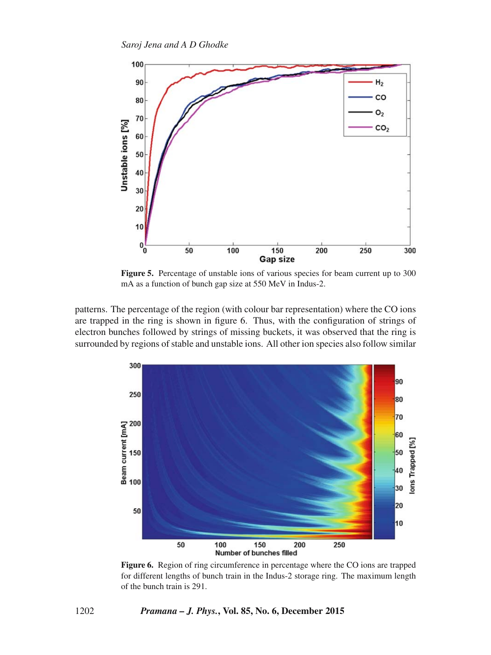

**Figure 5.** Percentage of unstable ions of various species for beam current up to 300 mA as a function of bunch gap size at 550 MeV in Indus-2.

patterns. The percentage of the region (with colour bar representation) where the CO ions are trapped in the ring is shown in figure 6. Thus, with the configuration of strings of electron bunches followed by strings of missing buckets, it was observed that the ring is surrounded by regions of stable and unstable ions. All other ion species also follow similar



**Figure 6.** Region of ring circumference in percentage where the CO ions are trapped for different lengths of bunch train in the Indus-2 storage ring. The maximum length of the bunch train is 291.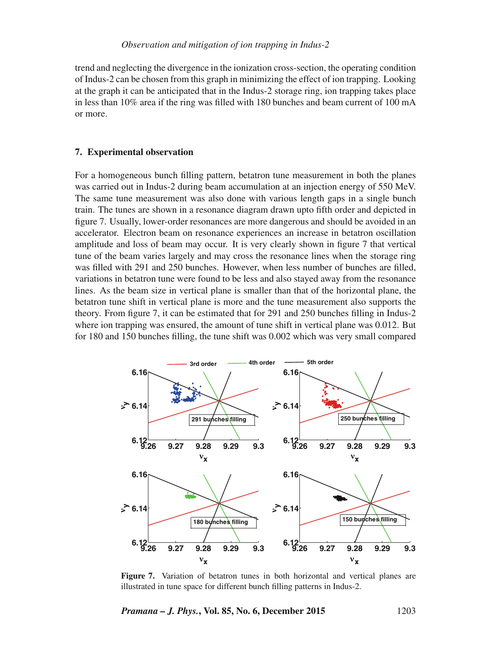trend and neglecting the divergence in the ionization cross-section, the operating condition of Indus-2 can be chosen from this graph in minimizing the effect of ion trapping. Looking at the graph it can be anticipated that in the Indus-2 storage ring, ion trapping takes place in less than 10% area if the ring was filled with 180 bunches and beam current of 100 mA or more.

## **7. Experimental observation**

For a homogeneous bunch filling pattern, betatron tune measurement in both the planes was carried out in Indus-2 during beam accumulation at an injection energy of 550 MeV. The same tune measurement was also done with various length gaps in a single bunch train. The tunes are shown in a resonance diagram drawn upto fifth order and depicted in figure 7. Usually, lower-order resonances are more dangerous and should be avoided in an accelerator. Electron beam on resonance experiences an increase in betatron oscillation amplitude and loss of beam may occur. It is very clearly shown in figure 7 that vertical tune of the beam varies largely and may cross the resonance lines when the storage ring was filled with 291 and 250 bunches. However, when less number of bunches are filled, variations in betatron tune were found to be less and also stayed away from the resonance lines. As the beam size in vertical plane is smaller than that of the horizontal plane, the betatron tune shift in vertical plane is more and the tune measurement also supports the theory. From figure 7, it can be estimated that for 291 and 250 bunches filling in Indus-2 where ion trapping was ensured, the amount of tune shift in vertical plane was 0.012. But for 180 and 150 bunches filling, the tune shift was 0.002 which was very small compared



**Figure 7.** Variation of betatron tunes in both horizontal and vertical planes are illustrated in tune space for different bunch filling patterns in Indus-2.

*Pramana – J. Phys.***, Vol. 85, No. 6, December 2015** 1203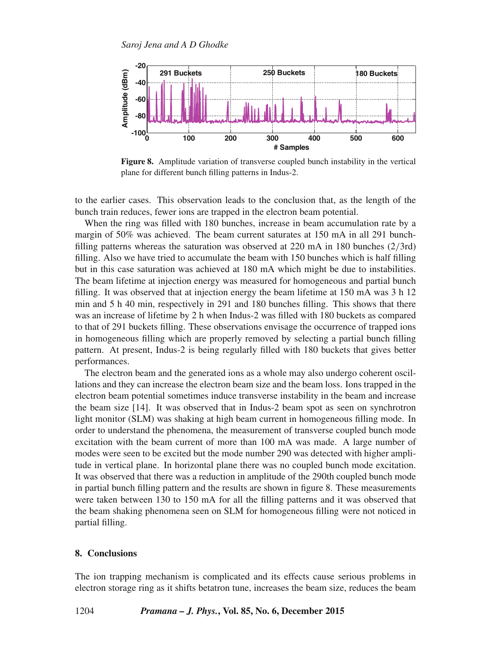

**Figure 8.** Amplitude variation of transverse coupled bunch instability in the vertical plane for different bunch filling patterns in Indus-2.

to the earlier cases. This observation leads to the conclusion that, as the length of the bunch train reduces, fewer ions are trapped in the electron beam potential.

When the ring was filled with 180 bunches, increase in beam accumulation rate by a margin of 50% was achieved. The beam current saturates at 150 mA in all 291 bunchfilling patterns whereas the saturation was observed at 220 mA in 180 bunches (2/3rd) filling. Also we have tried to accumulate the beam with 150 bunches which is half filling but in this case saturation was achieved at 180 mA which might be due to instabilities. The beam lifetime at injection energy was measured for homogeneous and partial bunch filling. It was observed that at injection energy the beam lifetime at 150 mA was 3 h 12 min and 5 h 40 min, respectively in 291 and 180 bunches filling. This shows that there was an increase of lifetime by 2 h when Indus-2 was filled with 180 buckets as compared to that of 291 buckets filling. These observations envisage the occurrence of trapped ions in homogeneous filling which are properly removed by selecting a partial bunch filling pattern. At present, Indus-2 is being regularly filled with 180 buckets that gives better performances.

The electron beam and the generated ions as a whole may also undergo coherent oscillations and they can increase the electron beam size and the beam loss. Ions trapped in the electron beam potential sometimes induce transverse instability in the beam and increase the beam size [14]. It was observed that in Indus-2 beam spot as seen on synchrotron light monitor (SLM) was shaking at high beam current in homogeneous filling mode. In order to understand the phenomena, the measurement of transverse coupled bunch mode excitation with the beam current of more than 100 mA was made. A large number of modes were seen to be excited but the mode number 290 was detected with higher amplitude in vertical plane. In horizontal plane there was no coupled bunch mode excitation. It was observed that there was a reduction in amplitude of the 290th coupled bunch mode in partial bunch filling pattern and the results are shown in figure 8. These measurements were taken between 130 to 150 mA for all the filling patterns and it was observed that the beam shaking phenomena seen on SLM for homogeneous filling were not noticed in partial filling.

#### **8. Conclusions**

The ion trapping mechanism is complicated and its effects cause serious problems in electron storage ring as it shifts betatron tune, increases the beam size, reduces the beam